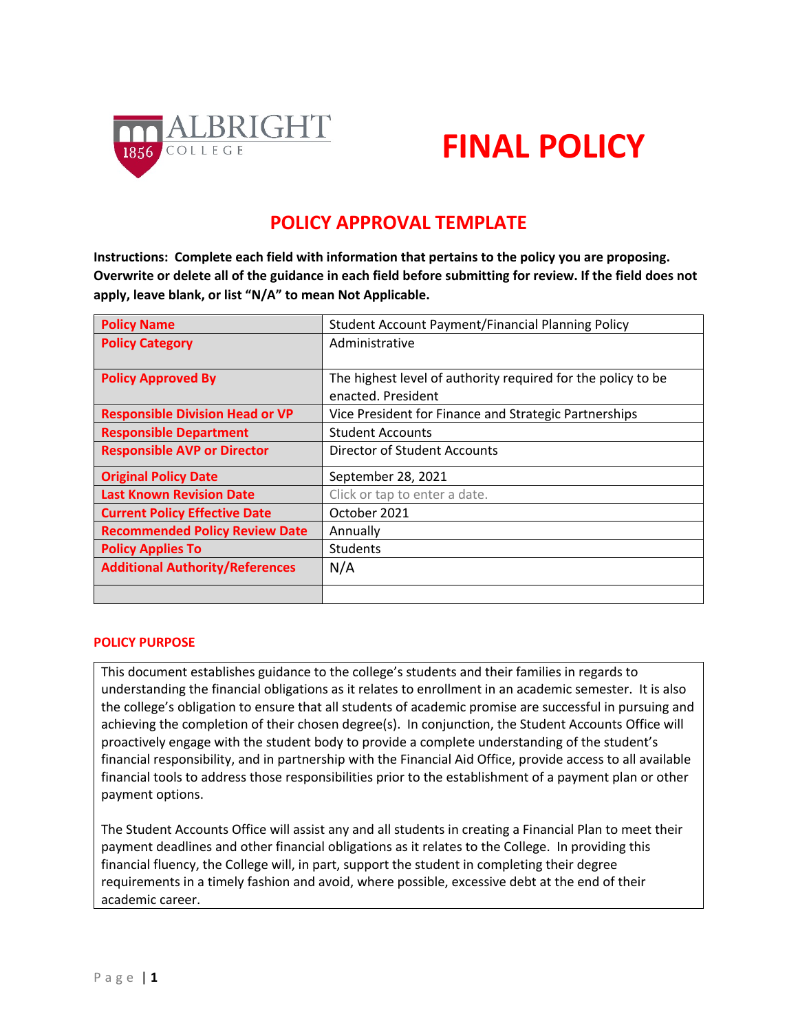

# **FINAL POLICY**

# **POLICY APPROVAL TEMPLATE**

**Instructions: Complete each field with information that pertains to the policy you are proposing. Overwrite or delete all of the guidance in each field before submitting for review. If the field does not apply, leave blank, or list "N/A" to mean Not Applicable.**

| <b>Policy Name</b>                     | <b>Student Account Payment/Financial Planning Policy</b>     |  |
|----------------------------------------|--------------------------------------------------------------|--|
| <b>Policy Category</b>                 | Administrative                                               |  |
|                                        |                                                              |  |
| <b>Policy Approved By</b>              | The highest level of authority required for the policy to be |  |
|                                        | enacted. President                                           |  |
| <b>Responsible Division Head or VP</b> | Vice President for Finance and Strategic Partnerships        |  |
| <b>Responsible Department</b>          | <b>Student Accounts</b>                                      |  |
| <b>Responsible AVP or Director</b>     | Director of Student Accounts                                 |  |
| <b>Original Policy Date</b>            | September 28, 2021                                           |  |
| <b>Last Known Revision Date</b>        | Click or tap to enter a date.                                |  |
| <b>Current Policy Effective Date</b>   | October 2021                                                 |  |
| <b>Recommended Policy Review Date</b>  | Annually                                                     |  |
| <b>Policy Applies To</b>               | <b>Students</b>                                              |  |
| <b>Additional Authority/References</b> | N/A                                                          |  |
|                                        |                                                              |  |

### **POLICY PURPOSE**

This document establishes guidance to the college's students and their families in regards to understanding the financial obligations as it relates to enrollment in an academic semester. It is also the college's obligation to ensure that all students of academic promise are successful in pursuing and achieving the completion of their chosen degree(s). In conjunction, the Student Accounts Office will proactively engage with the student body to provide a complete understanding of the student's financial responsibility, and in partnership with the Financial Aid Office, provide access to all available financial tools to address those responsibilities prior to the establishment of a payment plan or other payment options.

The Student Accounts Office will assist any and all students in creating a Financial Plan to meet their payment deadlines and other financial obligations as it relates to the College. In providing this financial fluency, the College will, in part, support the student in completing their degree requirements in a timely fashion and avoid, where possible, excessive debt at the end of their academic career.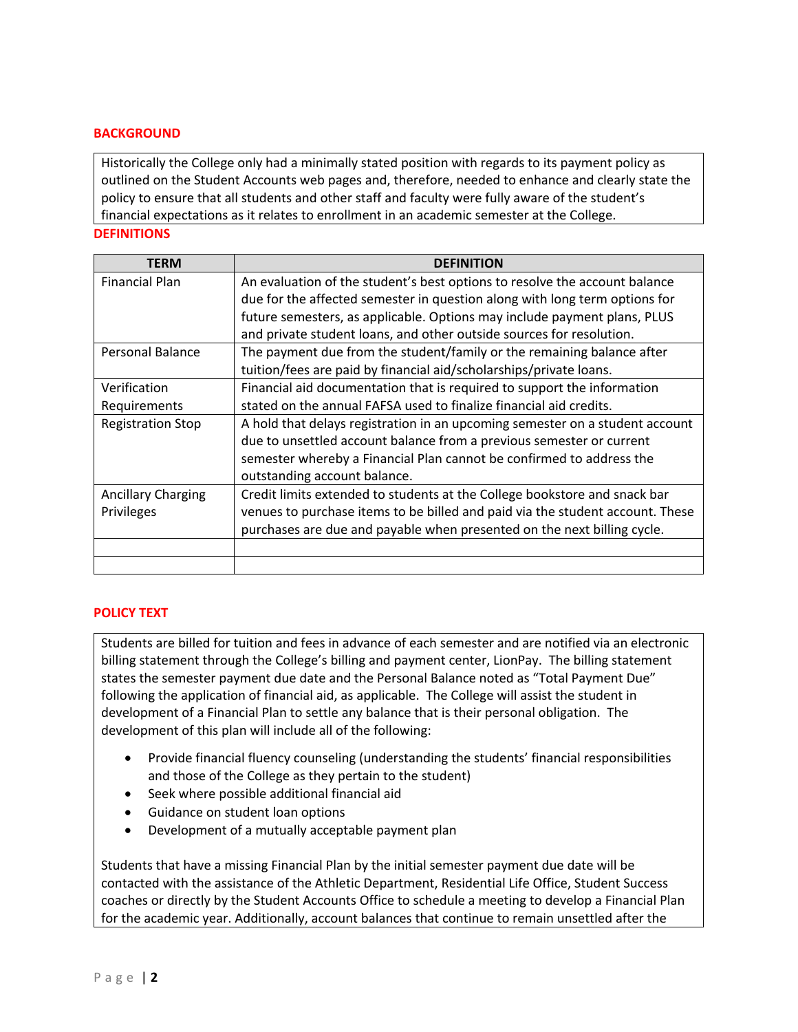### **BACKGROUND**

Historically the College only had a minimally stated position with regards to its payment policy as outlined on the Student Accounts web pages and, therefore, needed to enhance and clearly state the policy to ensure that all students and other staff and faculty were fully aware of the student's financial expectations as it relates to enrollment in an academic semester at the College.

# **DEFINITIONS**

| TERM                      | <b>DEFINITION</b>                                                             |  |  |
|---------------------------|-------------------------------------------------------------------------------|--|--|
| <b>Financial Plan</b>     | An evaluation of the student's best options to resolve the account balance    |  |  |
|                           | due for the affected semester in question along with long term options for    |  |  |
|                           | future semesters, as applicable. Options may include payment plans, PLUS      |  |  |
|                           | and private student loans, and other outside sources for resolution.          |  |  |
| <b>Personal Balance</b>   | The payment due from the student/family or the remaining balance after        |  |  |
|                           | tuition/fees are paid by financial aid/scholarships/private loans.            |  |  |
| Verification              | Financial aid documentation that is required to support the information       |  |  |
| Requirements              | stated on the annual FAFSA used to finalize financial aid credits.            |  |  |
| <b>Registration Stop</b>  | A hold that delays registration in an upcoming semester on a student account  |  |  |
|                           | due to unsettled account balance from a previous semester or current          |  |  |
|                           | semester whereby a Financial Plan cannot be confirmed to address the          |  |  |
|                           | outstanding account balance.                                                  |  |  |
| <b>Ancillary Charging</b> | Credit limits extended to students at the College bookstore and snack bar     |  |  |
| Privileges                | venues to purchase items to be billed and paid via the student account. These |  |  |
|                           | purchases are due and payable when presented on the next billing cycle.       |  |  |
|                           |                                                                               |  |  |
|                           |                                                                               |  |  |

### **POLICY TEXT**

Students are billed for tuition and fees in advance of each semester and are notified via an electronic billing statement through the College's billing and payment center, LionPay. The billing statement states the semester payment due date and the Personal Balance noted as "Total Payment Due" following the application of financial aid, as applicable. The College will assist the student in development of a Financial Plan to settle any balance that is their personal obligation. The development of this plan will include all of the following:

- Provide financial fluency counseling (understanding the students' financial responsibilities and those of the College as they pertain to the student)
- Seek where possible additional financial aid
- Guidance on student loan options
- Development of a mutually acceptable payment plan

Students that have a missing Financial Plan by the initial semester payment due date will be contacted with the assistance of the Athletic Department, Residential Life Office, Student Success coaches or directly by the Student Accounts Office to schedule a meeting to develop a Financial Plan for the academic year. Additionally, account balances that continue to remain unsettled after the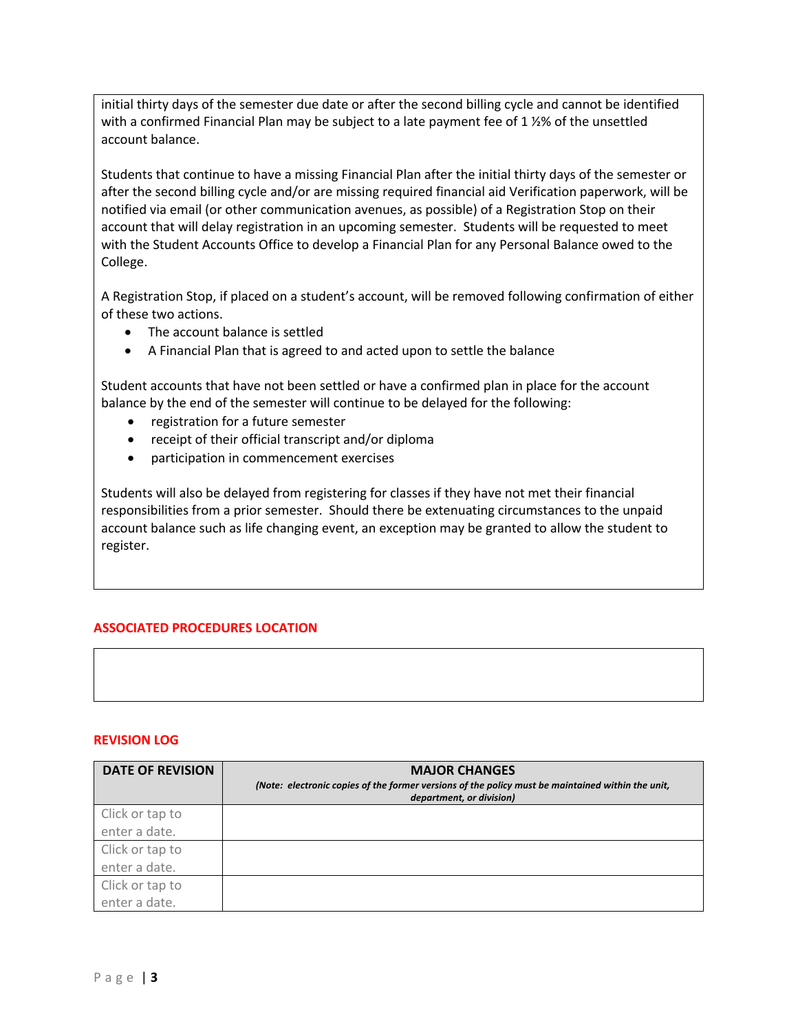initial thirty days of the semester due date or after the second billing cycle and cannot be identified with a confirmed Financial Plan may be subject to a late payment fee of 1 1/2% of the unsettled account balance.

Students that continue to have a missing Financial Plan after the initial thirty days of the semester or after the second billing cycle and/or are missing required financial aid Verification paperwork, will be notified via email (or other communication avenues, as possible) of a Registration Stop on their account that will delay registration in an upcoming semester. Students will be requested to meet with the Student Accounts Office to develop a Financial Plan for any Personal Balance owed to the College.

A Registration Stop, if placed on a student's account, will be removed following confirmation of either of these two actions.

- The account balance is settled
- A Financial Plan that is agreed to and acted upon to settle the balance

Student accounts that have not been settled or have a confirmed plan in place for the account balance by the end of the semester will continue to be delayed for the following:

- registration for a future semester
- receipt of their official transcript and/or diploma
- participation in commencement exercises

Students will also be delayed from registering for classes if they have not met their financial responsibilities from a prior semester. Should there be extenuating circumstances to the unpaid account balance such as life changing event, an exception may be granted to allow the student to register.

## **ASSOCIATED PROCEDURES LOCATION**

#### **REVISION LOG**

| <b>DATE OF REVISION</b> | <b>MAJOR CHANGES</b><br>(Note: electronic copies of the former versions of the policy must be maintained within the unit,<br>department, or division) |
|-------------------------|-------------------------------------------------------------------------------------------------------------------------------------------------------|
| Click or tap to         |                                                                                                                                                       |
| enter a date.           |                                                                                                                                                       |
| Click or tap to         |                                                                                                                                                       |
| enter a date.           |                                                                                                                                                       |
| Click or tap to         |                                                                                                                                                       |
| enter a date.           |                                                                                                                                                       |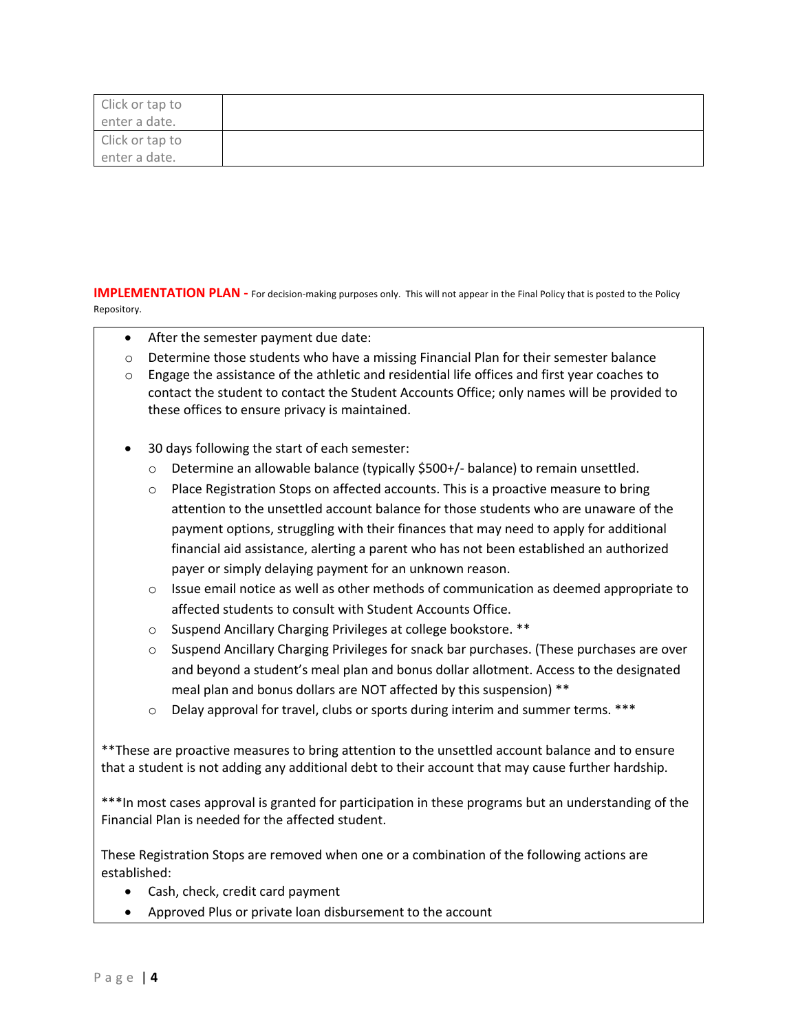| Click or tap to |  |
|-----------------|--|
| enter a date.   |  |
| Click or tap to |  |
| enter a date.   |  |

**IMPLEMENTATION PLAN** - For decision-making purposes only. This will not appear in the Final Policy that is posted to the Policy Repository.

- After the semester payment due date:
- $\circ$  Determine those students who have a missing Financial Plan for their semester balance
- $\circ$  Engage the assistance of the athletic and residential life offices and first year coaches to contact the student to contact the Student Accounts Office; only names will be provided to these offices to ensure privacy is maintained.
- 30 days following the start of each semester:
	- o Determine an allowable balance (typically \$500+/- balance) to remain unsettled.
	- $\circ$  Place Registration Stops on affected accounts. This is a proactive measure to bring attention to the unsettled account balance for those students who are unaware of the payment options, struggling with their finances that may need to apply for additional financial aid assistance, alerting a parent who has not been established an authorized payer or simply delaying payment for an unknown reason.
	- $\circ$  Issue email notice as well as other methods of communication as deemed appropriate to affected students to consult with Student Accounts Office.
	- o Suspend Ancillary Charging Privileges at college bookstore. \*\*
	- $\circ$  Suspend Ancillary Charging Privileges for snack bar purchases. (These purchases are over and beyond a student's meal plan and bonus dollar allotment. Access to the designated meal plan and bonus dollars are NOT affected by this suspension) \*\*
	- o Delay approval for travel, clubs or sports during interim and summer terms. \*\*\*

\*\*These are proactive measures to bring attention to the unsettled account balance and to ensure that a student is not adding any additional debt to their account that may cause further hardship.

\*\*\*In most cases approval is granted for participation in these programs but an understanding of the Financial Plan is needed for the affected student.

These Registration Stops are removed when one or a combination of the following actions are established:

- Cash, check, credit card payment
- Approved Plus or private loan disbursement to the account